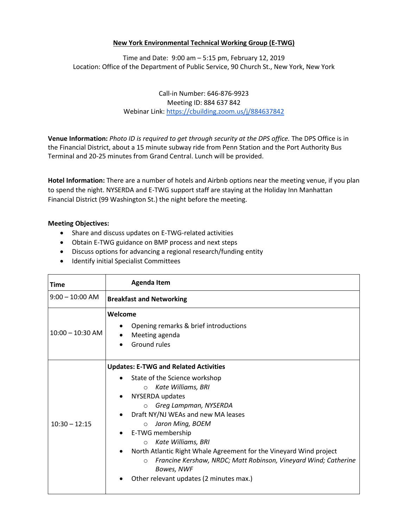## **New York Environmental Technical Working Group (E-TWG)**

Time and Date: 9:00 am – 5:15 pm, February 12, 2019 Location: Office of the Department of Public Service, 90 Church St., New York, New York

## Call‐in Number: 646-876-9923 Meeting ID: 884 637 842 Webinar Link[: https://cbuilding.zoom.us/j/884637842](https://cbuilding.zoom.us/j/884637842)

**Venue Information:** *Photo ID is required to get through security at the DPS office.* The DPS Office is in the Financial District, about a 15 minute subway ride from Penn Station and the Port Authority Bus Terminal and 20-25 minutes from Grand Central. Lunch will be provided.

**Hotel Information:** There are a number of hotels and Airbnb options near the meeting venue, if you plan to spend the night. NYSERDA and E-TWG support staff are staying at the Holiday Inn Manhattan Financial District (99 Washington St.) the night before the meeting.

## **Meeting Objectives:**

- Share and discuss updates on E-TWG-related activities
- Obtain E-TWG guidance on BMP process and next steps
- Discuss options for advancing a regional research/funding entity
- **•** Identify initial Specialist Committees

| Time               | <b>Agenda Item</b>                                                                                                                                                                                                                                                                                                                                                                                                                                                                                           |
|--------------------|--------------------------------------------------------------------------------------------------------------------------------------------------------------------------------------------------------------------------------------------------------------------------------------------------------------------------------------------------------------------------------------------------------------------------------------------------------------------------------------------------------------|
| $9:00 - 10:00$ AM  | <b>Breakfast and Networking</b>                                                                                                                                                                                                                                                                                                                                                                                                                                                                              |
| $10:00 - 10:30$ AM | Welcome<br>Opening remarks & brief introductions<br>Meeting agenda<br>Ground rules                                                                                                                                                                                                                                                                                                                                                                                                                           |
| $10:30 - 12:15$    | <b>Updates: E-TWG and Related Activities</b><br>State of the Science workshop<br>Kate Williams, BRI<br>$\circ$<br>NYSERDA updates<br>Greg Lampman, NYSERDA<br>$\circ$<br>Draft NY/NJ WEAs and new MA leases<br>Jaron Ming, BOEM<br>$\circ$<br>E-TWG membership<br>Kate Williams, BRI<br>$\circ$<br>North Atlantic Right Whale Agreement for the Vineyard Wind project<br>Francine Kershaw, NRDC; Matt Robinson, Vineyard Wind; Catherine<br>$\circ$<br>Bowes, NWF<br>Other relevant updates (2 minutes max.) |